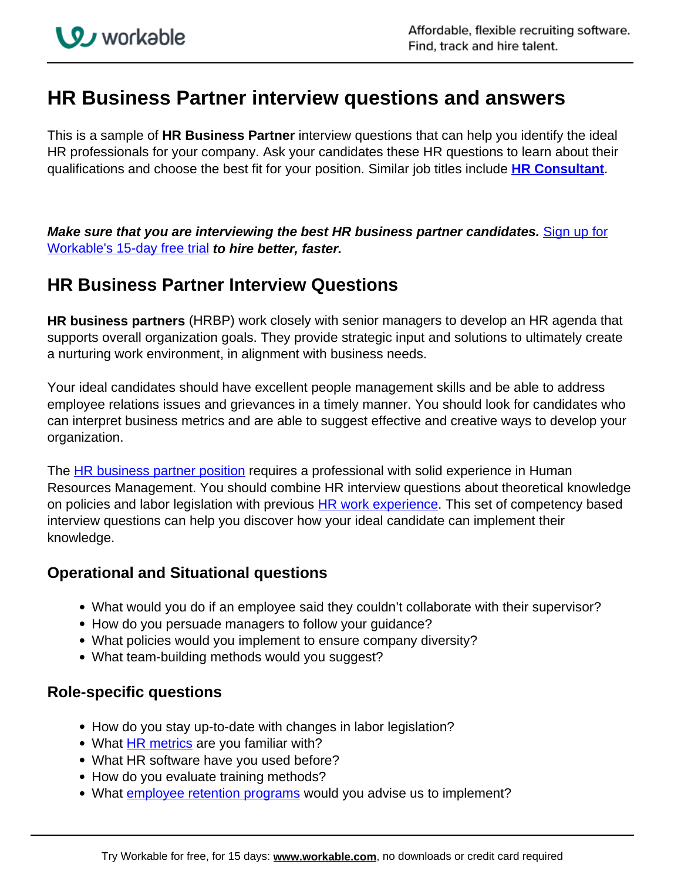# **HR Business Partner interview questions and answers**

This is a sample of **HR Business Partner** interview questions that can help you identify the ideal HR professionals for your company. Ask your candidates these HR questions to learn about their qualifications and choose the best fit for your position. Similar job titles include **[HR Consultant](https://resources.workable.com/hr-consultant-interview-questions)**.

**Make sure that you are interviewing the best HR business partner candidates.** Sign up for Workable's 15-day free trial **to hire better, faster.** 

# **HR Business Partner Interview Questions**

**HR business partners** (HRBP) work closely with senior managers to develop an HR agenda that supports overall organization goals. They provide strategic input and solutions to ultimately create a nurturing work environment, in alignment with business needs.

Your ideal candidates should have excellent people management skills and be able to address employee relations issues and grievances in a timely manner. You should look for candidates who can interpret business metrics and are able to suggest effective and creative ways to develop your organization.

The HR business partner position requires a professional with solid experience in Human Resources Management. You should combine HR interview questions about theoretical knowledge on policies and labor legislation with previous **HR work experience**. This set of competency based interview questions can help you discover how your ideal candidate can implement their knowledge.

## **Operational and Situational questions**

- What would you do if an employee said they couldn't collaborate with their supervisor?
- How do you persuade managers to follow your guidance?
- What policies would you implement to ensure company diversity?
- What team-building methods would you suggest?

### **Role-specific questions**

- How do you stay up-to-date with changes in labor legislation?
- What **HR metrics** are you familiar with?
- What HR software have you used before?
- How do you evaluate training methods?
- What *employee retention programs* would you advise us to implement?